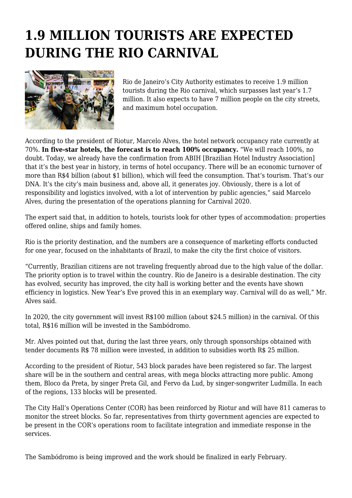## **1.9 MILLION TOURISTS ARE EXPECTED DURING THE RIO CARNIVAL**



Rio de Janeiro's City Authority estimates to receive 1.9 million tourists during the Rio carnival, which surpasses last year's 1.7 million. It also expects to have 7 million people on the city streets, and maximum hotel occupation.

According to the president of Riotur, Marcelo Alves, the hotel network occupancy rate currently at 70%. **In five-star hotels, the forecast is to reach 100% occupancy.** "We will reach 100%, no doubt. Today, we already have the confirmation from ABIH [Brazilian Hotel Industry Association] that it's the best year in history, in terms of hotel occupancy. There will be an economic turnover of more than R\$4 billion (about \$1 billion), which will feed the consumption. That's tourism. That's our DNA. It's the city's main business and, above all, it generates joy. Obviously, there is a lot of responsibility and logistics involved, with a lot of intervention by public agencies," said Marcelo Alves, during the presentation of the operations planning for Carnival 2020.

The expert said that, in addition to hotels, tourists look for other types of accommodation: properties offered online, ships and family homes.

Rio is the priority destination, and the numbers are a consequence of marketing efforts conducted for one year, focused on the inhabitants of Brazil, to make the city the first choice of visitors.

"Currently, Brazilian citizens are not traveling frequently abroad due to the high value of the dollar. The priority option is to travel within the country. Rio de Janeiro is a desirable destination. The city has evolved, security has improved, the city hall is working better and the events have shown efficiency in logistics. New Year's Eve proved this in an exemplary way. Carnival will do as well," Mr. Alves said.

In 2020, the city government will invest R\$100 million (about \$24.5 million) in the carnival. Of this total, R\$16 million will be invested in the Sambódromo.

Mr. Alves pointed out that, during the last three years, only through sponsorships obtained with tender documents R\$ 78 million were invested, in addition to subsidies worth R\$ 25 million.

According to the president of Riotur, 543 block parades have been registered so far. The largest share will be in the southern and central areas, with mega blocks attracting more public. Among them, Bloco da Preta, by singer Preta Gil, and Fervo da Lud, by singer-songwriter Ludmilla. In each of the regions, 133 blocks will be presented.

The City Hall's Operations Center (COR) has been reinforced by Riotur and will have 811 cameras to monitor the street blocks. So far, representatives from thirty government agencies are expected to be present in the COR's operations room to facilitate integration and immediate response in the services.

The Sambódromo is being improved and the work should be finalized in early February.